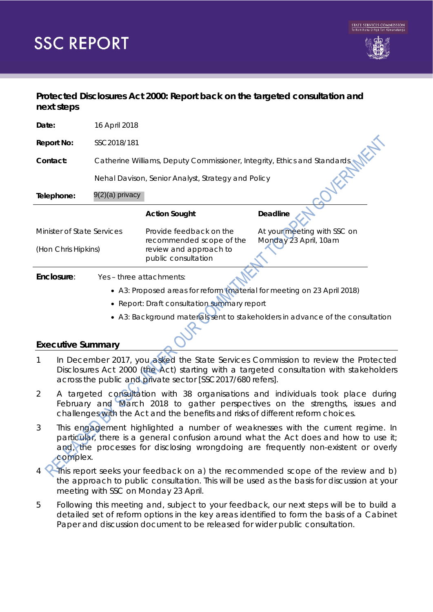# **SSC REPORT**

## **Protected Disclosures Act 2000: Report back on the targeted consultation and next steps**

| Date:                                             | 16 April 2018                                                             |                                                                           |                             |
|---------------------------------------------------|---------------------------------------------------------------------------|---------------------------------------------------------------------------|-----------------------------|
| <b>Report No:</b>                                 | SSC2018/181                                                               |                                                                           |                             |
| Contact:                                          | Catherine Williams, Deputy Commissioner, Integrity, Ethics and Standards, |                                                                           |                             |
|                                                   | Nehal Davison, Senior Analyst, Strategy and Policy                        |                                                                           |                             |
| Telephone:                                        | 9(2)(a) privacy                                                           |                                                                           |                             |
|                                                   |                                                                           | <b>Action Sought</b>                                                      | Deadline                    |
| Minister of State Services<br>(Hon Chris Hipkins) |                                                                           | Provide feedback on the                                                   | At your meeting with SSC on |
|                                                   |                                                                           | recommended scope of the<br>review and approach to<br>public consultation | Monday 23 April, 10am       |
| Enclosure:                                        | Yes - three attachments:                                                  |                                                                           |                             |
|                                                   |                                                                           | • A3: Proposed areas for reform (material for meeting on 23 April 2018)   |                             |

- Report: Draft consultation summary report
- A3: Background materials sent to stakeholders in advance of the consultation

## **Executive Summary**

- 1 In December 2017, you asked the State Services Commission to review the Protected Disclosures Act 2000 (the Act) starting with a targeted consultation with stakeholders across the public and private sector [SSC2017/680 refers].
- 2 A targeted consultation with 38 organisations and individuals took place during February and March 2018 to gather perspectives on the strengths, issues and challenges with the Act and the benefits and risks of different reform choices.
- 3 This engagement highlighted a number of weaknesses with the current regime. In particular, there is a general confusion around what the Act does and how to use it; and, the processes for disclosing wrongdoing are frequently non-existent or overly complex.
- This report seeks your feedback on a) the recommended scope of the review and b) the approach to public consultation. This will be used as the basis for discussion at your meeting with SSC on Monday 23 April.
- 5 Following this meeting and, subject to your feedback, our next steps will be to build a detailed set of reform options in the key areas identified to form the basis of a Cabinet Paper and discussion document to be released for wider public consultation.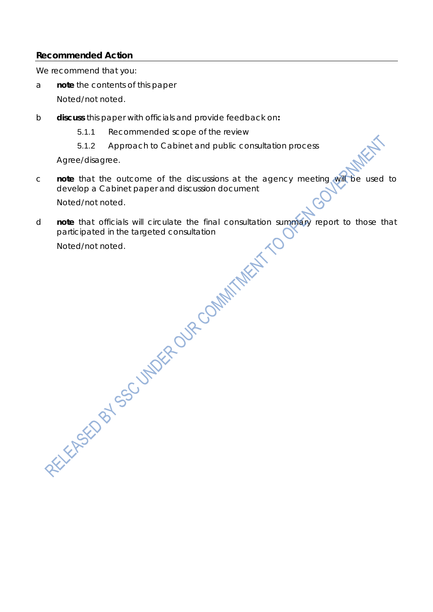### **Recommended Action**

We recommend that you:

- a **note** the contents of this paper *Noted/not noted.*
- b **discuss** this paper with officials and provide feedback on**:** 
	- 5.1.1 Recommended scope of the review
	- 5.1.2 Approach to Cabinet and public consultation process

*Agree/disagree.*

c **note** that the outcome of the discussions at the agency meeting will be used to develop a Cabinet paper and discussion document

*Noted/not noted.*

d **note** that officials will circulate the final consultation summary report to those that participated in the targeted consultation participated in the targeted consultation

*Noted/not noted.*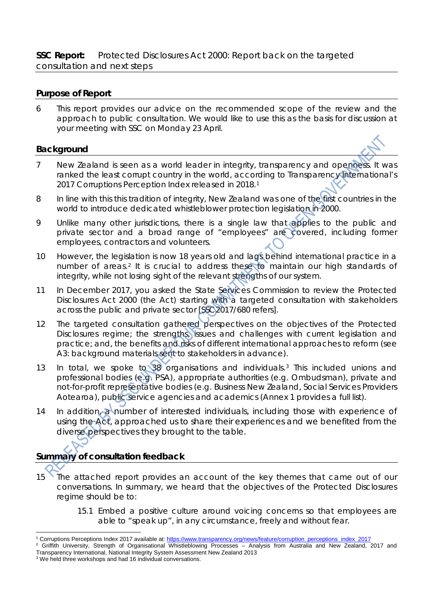### **Purpose of Report**

6 This report provides our advice on the recommended scope of the review and the approach to public consultation. We would like to use this as the basis for discussion at your meeting with SSC on Monday 23 April.

### **Background**

- 7 New Zealand is seen as a world leader in integrity, transparency and openness. It was ranked the least corrupt country in the world, according to Transparency International's 20[1](#page-2-0)7 Corruptions Perception Index released in 2018.<sup>1</sup>
- 8 In line with this this tradition of integrity, New Zealand was one of the first countries in the world to introduce dedicated whistleblower protection legislation in 2000.
- 9 Unlike many other jurisdictions, there is a single law that applies to the public and private sector and a broad range of "employees" are covered, including former employees, contractors and volunteers.
- 10 However, the legislation is now 18 years old and lags behind international practice in a number of areas.<sup>[2](#page-2-1)</sup> It is crucial to address these to maintain our high standards of integrity, while not losing sight of the relevant strengths of our system.
- 11 In December 2017, you asked the State Services Commission to review the Protected Disclosures Act 2000 (the Act) starting with a targeted consultation with stakeholders across the public and private sector [SSC2017/680 refers].
- 12 The targeted consultation gathered perspectives on the objectives of the Protected Disclosures regime; the strengths, issues and challenges with current legislation and practice; and, the benefits and risks of different international approaches to reform (see A3: background materials sent to stakeholders in advance).
- 13 In total, we spoke to 38 organisations and individuals.[3](#page-2-2) This included unions and professional bodies (e.g. PSA), appropriate authorities (e.g. Ombudsman), private and not-for-profit representative bodies (e.g. Business New Zealand, Social Services Providers Aotearoa), public service agencies and academics (Annex 1 provides a full list).
- 14 In addition, a number of interested individuals, including those with experience of using the Act, approached us to share their experiences and we benefited from the diverse perspectives they brought to the table.

## **Summary of consultation feedback**

- 
- 15 The attached report provides an account of the key themes that came out of our conversations. In summary, we heard that the objectives of the Protected Disclosures regime should be to:
	- 15.1 Embed a positive culture around voicing concerns so that employees are able to "speak up", in any circumstance, freely and without fear.
- <span id="page-2-0"></span> <sup>1</sup> Corruptions Perceptions Index 2017 available at[: https://www.transparency.org/news/feature/corruption\\_perceptions\\_index\\_2017](https://www.transparency.org/news/feature/corruption_perceptions_index_2017)

<span id="page-2-1"></span> $2$  Griffith University, Strength of Organisational Whistleblowing Processes – Analysis from Australia and New Zealand, 2017 and Transparency International, National Integrity System Assessment New Zealand 2013

<span id="page-2-2"></span><sup>&</sup>lt;sup>3</sup> We held three workshops and had 16 individual conversations.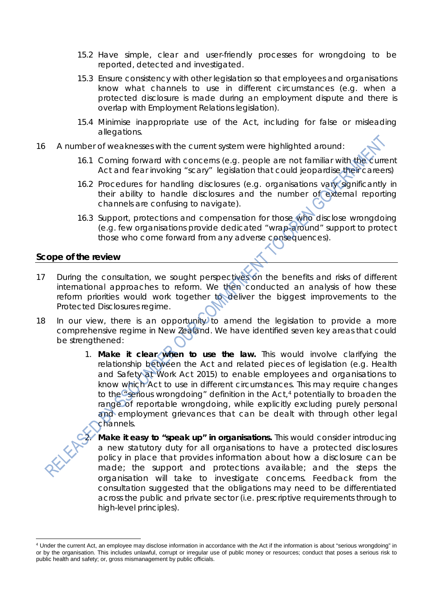- 15.2 Have simple, clear and user-friendly processes for wrongdoing to be reported, detected and investigated.
- 15.3 Ensure consistency with other legislation so that employees and organisations know what channels to use in different circumstances (e.g. when a protected disclosure is made during an employment dispute and there is overlap with Employment Relations legislation).
- 15.4 Minimise inappropriate use of the Act, including for false or misleading allegations.
- 16 A number of weaknesses with the current system were highlighted around:
	- 16.1 Coming forward with concerns (e.g. people are not familiar with the current Act and fear invoking "scary" legislation that could jeopardise their careers)
	- 16.2 Procedures for handling disclosures (e.g. organisations vary significantly in their ability to handle disclosures and the number of external reporting channels are confusing to navigate).
	- 16.3 Support, protections and compensation for those who disclose wrongdoing (e.g. few organisations provide dedicated "wrap-around" support to protect those who come forward from any adverse consequences).

#### **Scope of the review**

- 17 During the consultation, we sought perspectives on the benefits and risks of different international approaches to reform. We then conducted an analysis of how these reform priorities would work together to deliver the biggest improvements to the Protected Disclosures regime.
- 18 In our view, there is an opportunity to amend the legislation to provide a more comprehensive regime in New Zealand. We have identified seven key areas that could be strengthened:
	- 1. **Make it clear when to use the law.** This would involve clarifying the relationship between the Act and related pieces of legislation (e.g. Health and Safety at Work Act 2015) to enable employees and organisations to know which Act to use in different circumstances. This may require changes to the  $\epsilon$  serious wrongdoing" definition in the Act,<sup>[4](#page-3-0)</sup> potentially to broaden the range of reportable wrongdoing, while explicitly excluding purely personal and employment grievances that can be dealt with through other legal channels.

**Make it easy to "speak up" in organisations.** This would consider introducing a new statutory duty for all organisations to have a protected disclosures policy in place that provides information about how a disclosure can be made; the support and protections available; and the steps the organisation will take to investigate concerns. Feedback from the consultation suggested that the obligations may need to be differentiated across the public and private sector (i.e. prescriptive requirements through to high-level principles).

<span id="page-3-0"></span> $\overline{a}$ <sup>4</sup> Under the current Act, an employee may disclose information in accordance with the Act if the information is about "serious wrongdoing" in or by the organisation. This includes unlawful, corrupt or irregular use of public money or resources; conduct that poses a serious risk to public health and safety; or, gross mismanagement by public officials.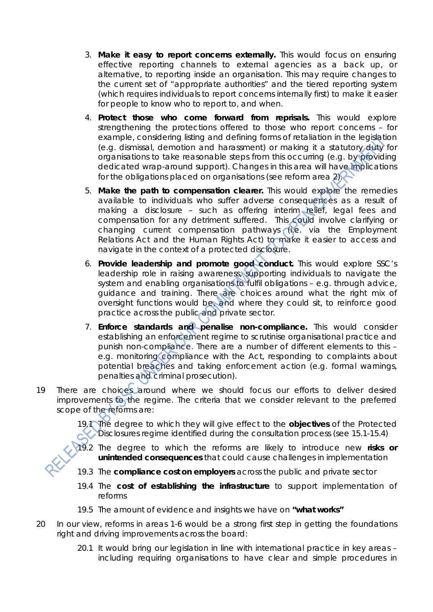- 3. **Make it easy to report concerns externally.** This would focus on ensuring effective reporting channels to external agencies as a back up, or alternative, to reporting inside an organisation. This may require changes to the current set of "appropriate authorities" and the tiered reporting system (which requires individuals to report concerns internally first) to make it easier for people to know who to report to, and when.
- 4. **Protect those who come forward from reprisals.** This would explore strengthening the protections offered to those who report concerns – for example, considering listing and defining forms of retaliation in the legislation (e.g. dismissal, demotion and harassment) or making it a statutory duty for organisations to take reasonable steps from this occurring (e.g. by providing dedicated wrap-around support). Changes in this area will have implications for the obligations placed on organisations (see reform area  $2)$ .
- 5. **Make the path to compensation clearer.** This would explore the remedies available to individuals who suffer adverse consequences as a result of making a disclosure - such as offering interim relief, legal fees and compensation for any detriment suffered. This could involve clarifying or changing current compensation pathways (i.e. via the Employment Relations Act and the Human Rights Act) to make it easier to access and navigate in the context of a protected disclosure.
- 6. **Provide leadership and promote good conduct.** This would explore SSC's leadership role in raising awareness, supporting individuals to navigate the system and enabling organisations to fulfil obligations – e.g. through advice, guidance and training. There are choices around what the right mix of oversight functions would be, and where they could sit, to reinforce good practice across the public and private sector.
- 7. **Enforce standards and penalise non-compliance.** This would consider establishing an enforcement regime to scrutinise organisational practice and punish non-compliance. There are a number of different elements to this – e.g. monitoring compliance with the Act, responding to complaints about potential breaches and taking enforcement action (e.g. formal warnings, penalties and criminal prosecution).
- 19 There are choices around where we should focus our efforts to deliver desired improvements to the regime. The criteria that we consider relevant to the preferred scope of the reforms are:

The degree to which they will give effect to the **objectives** of the Protected Disclosures regime identified during the consultation process (see 15.1-15.4)

- 19.2 The degree to which the reforms are likely to introduce new **risks or unintended consequences** that could cause challenges in implementation
- 19.3 The **compliance cost on employers** across the public and private sector
- 19.4 The **cost of establishing the infrastructure** to support implementation of reforms
- 19.5 The amount of evidence and insights we have on **"what works"**
- 20 In our view, reforms in areas 1-6 would be a strong first step in getting the foundations right and driving improvements across the board:
	- 20.1 It would bring our legislation in line with international practice in key areas including requiring organisations to have clear and simple procedures in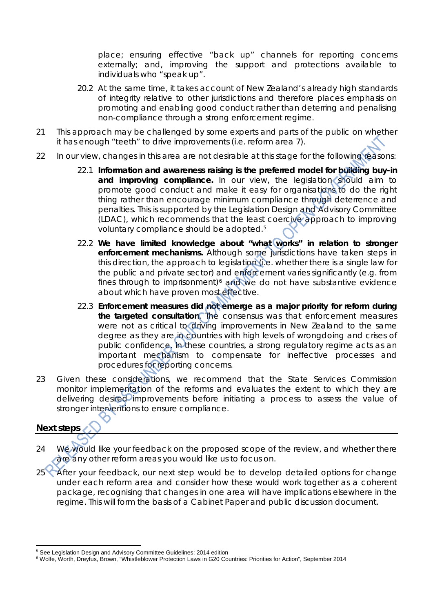place; ensuring effective "back up" channels for reporting concerns externally; and, improving the support and protections available to individuals who "speak up".

- 20.2 At the same time, it takes account of New Zealand's already high standards of integrity relative to other jurisdictions and therefore places emphasis on promoting and enabling good conduct rather than deterring and penalising non-compliance through a strong enforcement regime.
- 21 This approach may be challenged by some experts and parts of the public on whether it has enough "teeth" to drive improvements (i.e. reform area 7).
- 22 In our view, changes in this area are not desirable at this stage for the following reasons:
	- 22.1 **Information and awareness raising is the preferred model for building buy-in**  and improving compliance. In our view, the legislation should aim to promote good conduct and make it easy for organisations to do the right thing rather than encourage minimum compliance through deterrence and penalties. This is supported by the Legislation Design and Advisory Committee (LDAC), which recommends that the least coercive approach to improving voluntary compliance should be adopted.<sup>5</sup>
	- 22.2 **We have limited knowledge about "what works" in relation to stronger enforcement mechanisms.** Although some jurisdictions have taken steps in this direction, the approach to legislation (i.e. whether there is a single law for the public and private sector) and enforcement varies significantly (e.g. from fines through to imprisonment) $6$  and we do not have substantive evidence about which have proven most effective.
	- 22.3 **Enforcement measures did not emerge as a major priority for reform during the targeted consultation**. The consensus was that enforcement measures were not as critical to driving improvements in New Zealand to the same degree as they are in countries with high levels of wrongdoing and crises of public confidence. In these countries, a strong regulatory regime acts as an important mechanism to compensate for ineffective processes and procedures for reporting concerns.
- 23 Given these considerations, we recommend that the State Services Commission monitor implementation of the reforms and evaluates the extent to which they are delivering desired improvements before initiating a process to assess the value of stronger interventions to ensure compliance.

## **Next steps**

- 24 We would like your feedback on the proposed scope of the review, and whether there are any other reform areas you would like us to focus on.
- 25<sup> After</sup> your feedback, our next step would be to develop detailed options for change under each reform area and consider how these would work together as a coherent package, recognising that changes in one area will have implications elsewhere in the regime. This will form the basis of a Cabinet Paper and public discussion document.

<span id="page-5-0"></span><sup>5</sup> See Legislation Design and Advisory Committee Guidelines: 2014 edition

<span id="page-5-1"></span><sup>6</sup> Wolfe, Worth, Dreyfus, Brown, "Whistleblower Protection Laws in G20 Countries: Priorities for Action", September 2014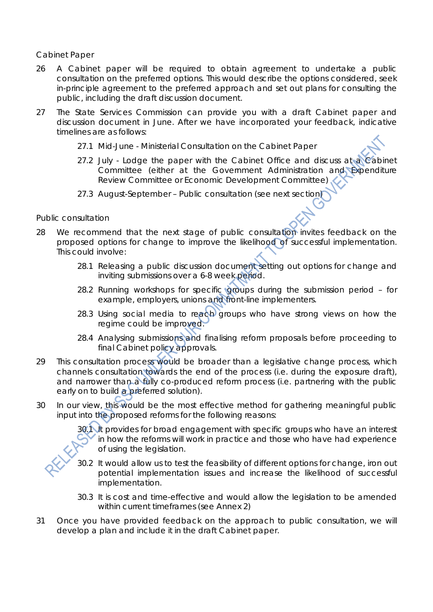#### *Cabinet Paper*

- 26 A Cabinet paper will be required to obtain agreement to undertake a public consultation on the preferred options. This would describe the options considered, seek in-principle agreement to the preferred approach and set out plans for consulting the public, including the draft discussion document.
- 27 The State Services Commission can provide you with a draft Cabinet paper and discussion document in June. After we have incorporated your feedback, indicative timelines are as follows:
	- 27.1 Mid-June Ministerial Consultation on the Cabinet Paper
	- 27.2 July Lodge the paper with the Cabinet Office and discuss at a Cabinet Committee (either at the Government Administration and Expenditure Review Committee or Economic Development Committee)
	- 27.3 August-September Public consultation (see next section)

#### *Public consultation*

- 28 We recommend that the next stage of public consultation invites feedback on the proposed options for change to improve the likelihood of successful implementation. This could involve:
	- 28.1 Releasing a public discussion document setting out options for change and inviting submissions over a 6-8 week period.
	- 28.2 Running workshops for specific groups during the submission period for example, employers, unions and front-line implementers.
	- 28.3 Using social media to reach groups who have strong views on how the regime could be improved.
	- 28.4 Analysing submissions and finalising reform proposals before proceeding to final Cabinet policy approvals.
- 29 This consultation process would be broader than a legislative change process, which channels consultation towards the end of the process (i.e. during the exposure draft), and narrower than a fully co-produced reform process (i.e. partnering with the public early on to build a preferred solution).
- 30 In our view, this would be the most effective method for gathering meaningful public input into the proposed reforms for the following reasons:

30.1 It provides for broad engagement with specific groups who have an interest in how the reforms will work in practice and those who have had experience of using the legislation.

- 30.2 It would allow us to test the feasibility of different options for change, iron out potential implementation issues and increase the likelihood of successful implementation.
- 30.3 It is cost and time-effective and would allow the legislation to be amended within current timeframes (see Annex 2)
- 31 Once you have provided feedback on the approach to public consultation, we will develop a plan and include it in the draft Cabinet paper.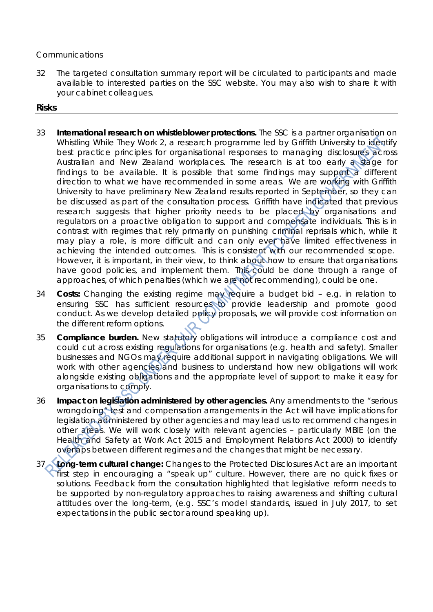#### *Communications*

32 The targeted consultation summary report will be circulated to participants and made available to interested parties on the SSC website. You may also wish to share it with your cabinet colleagues.

#### **Risks**

- 33 **International research on whistleblower protections.** The SSC is a partner organisation on Whistling While They Work 2, a research programme led by Griffith University to identify best practice principles for organisational responses to managing disclosures across Australian and New Zealand workplaces. The research is at too early a stage for findings to be available. It is possible that some findings may support a different direction to what we have recommended in some areas. We are working with Griffith University to have preliminary New Zealand results reported in September, so they can be discussed as part of the consultation process. Griffith have indicated that previous research suggests that higher priority needs to be placed by organisations and regulators on a proactive obligation to support and compensate individuals. This is in contrast with regimes that rely primarily on punishing criminal reprisals which, while it may play a role, is more difficult and can only ever have limited effectiveness in achieving the intended outcomes. This is consistent with our recommended scope. However, it is important, in their view, to think about how to ensure that organisations have good policies, and implement them. This could be done through a range of approaches, of which penalties (which we are not recommending), could be one.
- 34 **Costs:** Changing the existing regime may require a budget bid e.g. in relation to ensuring SSC has sufficient resources to provide leadership and promote good conduct. As we develop detailed policy proposals, we will provide cost information on the different reform options.
- 35 **Compliance burden.** New statutory obligations will introduce a compliance cost and could cut across existing regulations for organisations (e.g. health and safety). Smaller businesses and NGOs may require additional support in navigating obligations. We will work with other agencies and business to understand how new obligations will work alongside existing obligations and the appropriate level of support to make it easy for organisations to comply.
- 36 **Impact on legislation administered by other agencies.** Any amendments to the "serious wrongdoing" test and compensation arrangements in the Act will have implications for legislation administered by other agencies and may lead us to recommend changes in other areas. We will work closely with relevant agencies – particularly MBIE (on the Health and Safety at Work Act 2015 and Employment Relations Act 2000) to identify overlaps between different regimes and the changes that might be necessary.
- Long-term cultural change: Changes to the Protected Disclosures Act are an important first step in encouraging a "speak up" culture. However, there are no quick fixes or solutions. Feedback from the consultation highlighted that legislative reform needs to be supported by non-regulatory approaches to raising awareness and shifting cultural attitudes over the long-term, (e.g. SSC's model standards, issued in July 2017, to set expectations in the public sector around speaking up).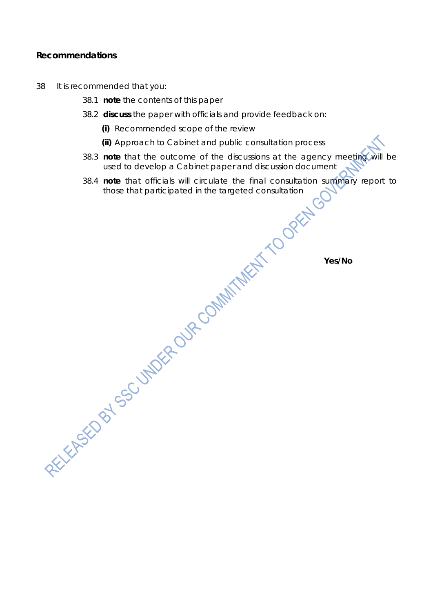#### **Recommendations**

- 38 It is recommended that you:
	- 38.1 **note** the contents of this paper
	- 38.2 **discuss** the paper with officials and provide feedback on:
		- **(i)** Recommended scope of the review

**(ii)** Approach to Cabinet and public consultation process

- 38.3 **note** that the outcome of the discussions at the agency meeting will be used to develop a Cabinet paper and discussion document used to develop a Cabinet paper and discussion document
- 38.4 **note** that officials will circulate the final consultation summary report to those that participated in the targeted consultation

**Yes/No**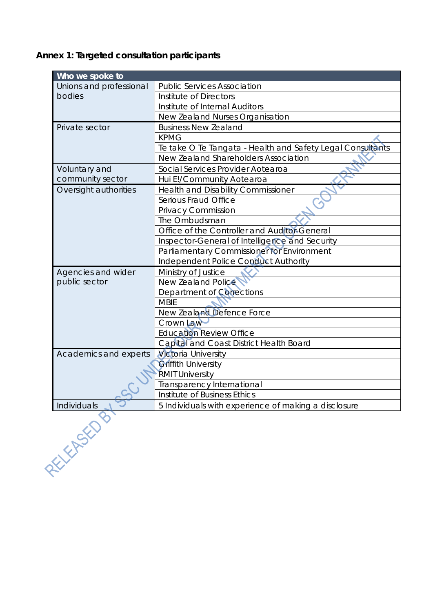**Annex 1: Targeted consultation participants** 

| Who we spoke to         |                                                            |  |  |  |
|-------------------------|------------------------------------------------------------|--|--|--|
| Unions and professional | <b>Public Services Association</b>                         |  |  |  |
| bodies                  | Institute of Directors                                     |  |  |  |
|                         | Institute of Internal Auditors                             |  |  |  |
|                         | New Zealand Nurses Organisation                            |  |  |  |
| Private sector          | <b>Business New Zealand</b>                                |  |  |  |
|                         | <b>KPMG</b>                                                |  |  |  |
|                         | Te take O Te Tangata - Health and Safety Legal Consultants |  |  |  |
|                         | New Zealand Shareholders Association                       |  |  |  |
| Voluntary and           | Social Services Provider Aotearoa                          |  |  |  |
| community sector        | Hui E!/Community Aotearoa                                  |  |  |  |
| Oversight authorities   | <b>Health and Disability Commissioner</b>                  |  |  |  |
|                         | Serious Fraud Office                                       |  |  |  |
|                         | Privacy Commission                                         |  |  |  |
|                         | The Ombudsman                                              |  |  |  |
|                         | Office of the Controller and Auditor General               |  |  |  |
|                         | Inspector-General of Intelligence and Security             |  |  |  |
|                         | Parliamentary Commissioner for Environment                 |  |  |  |
|                         | <b>Independent Police Conduct Authority</b>                |  |  |  |
| Agencies and wider      | Ministry of Justice                                        |  |  |  |
| public sector           | <b>New Zealand Police</b>                                  |  |  |  |
|                         | Department of Corrections                                  |  |  |  |
|                         | <b>MBIE</b>                                                |  |  |  |
|                         | New Zealand Defence Force                                  |  |  |  |
|                         | Crown Law                                                  |  |  |  |
|                         | <b>Education Review Office</b>                             |  |  |  |
|                         | Capital and Coast District Health Board                    |  |  |  |
| Academics and experts   | <b>Victoria University</b>                                 |  |  |  |
|                         | Griffith University                                        |  |  |  |
|                         | <b>RMIT University</b>                                     |  |  |  |
|                         | Transparency International                                 |  |  |  |
|                         | Institute of Business Ethics                               |  |  |  |
| Individuals             | 5 Individuals with experience of making a disclosure       |  |  |  |

**PELLINSKOSU**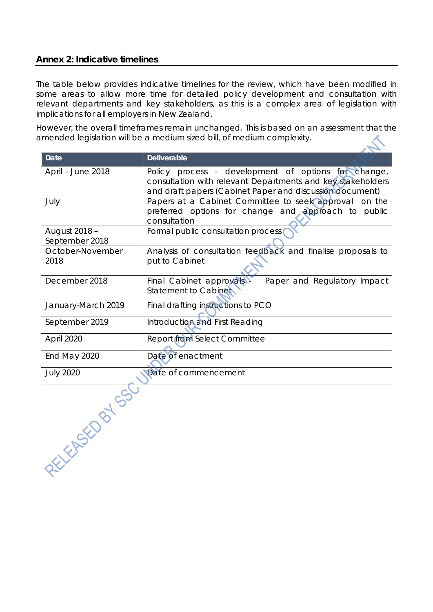### **Annex 2: Indicative timelines**

The table below provides indicative timelines for the review, which have been modified in some areas to allow more time for detailed policy development and consultation with relevant departments and key stakeholders, as this is a complex area of legislation with implications for all employers in New Zealand.

However, the overall timeframes remain unchanged. This is based on an assessment that the amended legislation will be a medium sized bill, of medium complexity.  $\mathcal{L}$ 

| <b>Date</b>                     | <b>Deliverable</b>                                                                                                                                                             |  |  |
|---------------------------------|--------------------------------------------------------------------------------------------------------------------------------------------------------------------------------|--|--|
| April - June 2018               | Policy process - development of options for change,<br>consultation with relevant Departments and key stakeholders<br>and draft papers (Cabinet Paper and discussion document) |  |  |
| July                            | Papers at a Cabinet Committee to seek approval on the<br>preferred options for change and approach to public<br>consultation                                                   |  |  |
| August 2018 -<br>September 2018 | Formal public consultation process                                                                                                                                             |  |  |
| October-November<br>2018        | Analysis of consultation feedback and finalise proposals to<br>put to Cabinet                                                                                                  |  |  |
| December 2018                   | Paper and Regulatory Impact<br>Final Cabinet approvals<br>Statement to Cabinet                                                                                                 |  |  |
| January-March 2019              | Final drafting instructions to PCO                                                                                                                                             |  |  |
| September 2019                  | Introduction and First Reading                                                                                                                                                 |  |  |
| April 2020                      | Report from Select Committee                                                                                                                                                   |  |  |
| End May 2020                    | Date of enactment                                                                                                                                                              |  |  |
| <b>July 2020</b>                | Date of commencement                                                                                                                                                           |  |  |
| REFERENCES C                    |                                                                                                                                                                                |  |  |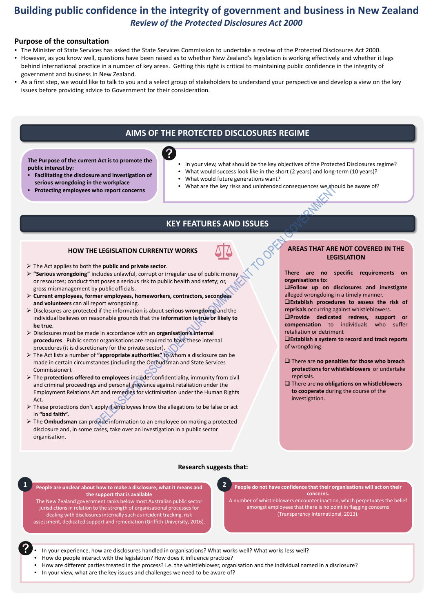## **Building public confidence in the integrity of government and business in New Zealand** *Review of the Protected Disclosures Act 2000*

## **Purpose of the consultation**

- The Minister of State Services has asked the State Services Commission to undertake a review of the Protected Disclosures Act 2000.
- However, as you know well, questions have been raised as to whether New Zealand's legislation is working effectively and whether it lags behind international practice in a number of key areas. Getting this right is critical to maintaining public confidence in the integrity of government and business in New Zealand.
- As a first step, we would like to talk to you and a select group of stakeholders to understand your perspective and develop a view on the key issues before providing advice to Government for their consideration.

## **AIMS OF THE PROTECTED DISCLOSURES REGIME**

## **KEY FEATURES AND ISSUES**

- In your view, what should be the key objectives of the Protected Disclosures regime?
- What would success look like in the short (2 years) and long-term (10 years)?
- What would future generations want?
- What are the key risks and unintended consequences we should be aware of?

**The Purpose of the current Act is to promote the public interest by:**

- **Facilitating the disclosure and investigation of serious wrongdoing in the workplace**
- **Protecting employees who report concerns**



## **HOW THE LEGISLATION CURRENTLY WORKS**

- In your experience, how are disclosures handled in organisations? What works well? What works less well?
- How do people interact with the legislation? How does it influence practice?
- How are different parties treated in the process? I.e. the whistleblower, organisation and the individual named in a disclosure?
- In your view, what are the key issues and challenges we need to be aware of?
- The Act applies to both the **public and private sector**.
- **"Serious wrongdoing"** includes unlawful, corrupt or irregular use of public money or resources; conduct that poses a serious risk to public health and safety; or, gross mismanagement by public officials.
- **Current employees, former employees, homeworkers, contractors, secondees and volunteers** can all report wrongdoing.
- Disclosures are protected if the information is about **serious wrongdoing** and the individual believes on reasonable grounds that the **information is true or likely to be true**.
- Disclosures must be made in accordance with an **organisation's internal procedures**. Public sector organisations are required to have these internal procedures (it is discretionary for the private sector).
- The Act lists a number of **"appropriate authorities"** to whom a disclosure can be made in certain circumstances (including the Ombudsman and State Services Commissioner).
- The **protections offered to employees** include: confidentiality, immunity from civil and criminal proceedings and personal grievance against retaliation under the Employment Relations Act and remedies for victimisation under the Human Rights Act.
- $\triangleright$  These protections don't apply if employees know the allegations to be false or act in **"bad faith".**
- The **Ombudsman** can provide information to an employee on making a protected disclosure and, in some cases, take over an investigation in a public sector organisation.

### **Research suggests that:**



## **AREAS THAT ARE NOT COVERED IN THE LEGISLATION**

**There are no specific requirements on organisations to:**

**Follow up on disclosures and investigate** alleged wrongdoing in a timely manner.

**Establish procedures to assess the risk of reprisals** occurring against whistleblowers.

**Provide dedicated redress, support or compensation** to individuals who suffer retaliation or detriment

**Establish a system to record and track reports** of wrongdoing.

- There are **no penalties for those who breach protections for whistleblowers** or undertake reprisals.
- □ There are **no obligations on whistleblowers to cooperate** during the course of the investigation.

**People are unclear about how to make a disclosure, what it means and 1 2the support that is available**

The New Zealand government ranks below most Australian public sector jurisdictions in relation to the strength of organisational processes for dealing with disclosures internally such as incident tracking, risk assessment, dedicated support and remediation (Griffith University, 2016). **People do not have confidence that their organisations will act on their concerns.** 

A number of whistleblowers encounter inaction, which perpetuates the belief amongst employees that there is no point in flagging concerns (Transparency International, 2013).

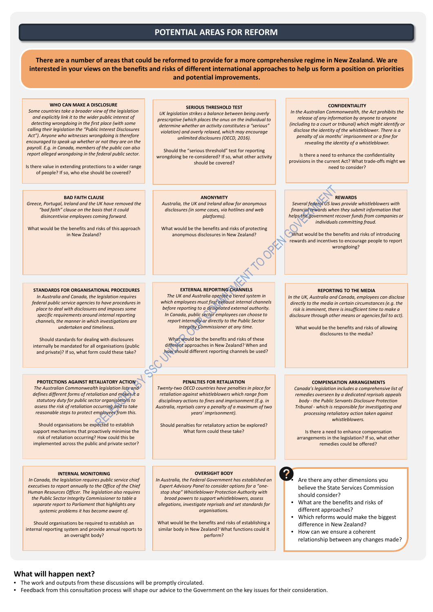## **What will happen next?**

- The work and outputs from these discussions will be promptly circulated.
- Feedback from this consultation process will shape our advice to the Government on the key issues for their consideration.

## **POTENTIAL AREAS FOR REFORM**

- Are there any other dimensions you believe the State Services Commission should consider?
- What are the benefits and risks of different approaches?

?

**There are a number of areas that could be reformed to provide for a more comprehensive regime in New Zealand. We are interested in your views on the benefits and risks of different international approaches to help us form a position on priorities and potential improvements.**

- Which reforms would make the biggest difference in New Zealand?
- How can we ensure a coherent relationship between any changes made?

## **STANDARDS FOR ORGANISATIONAL PROCEDURES**

*In Australia and Canada, the legislation requires federal public service agencies to have procedures in place to deal with disclosures and imposes some specific requirements around internal reporting channels, the manner in which investigations are undertaken and timeliness.* 

Should standards for dealing with disclosures internally be mandated for all organisations (public and private)? If so, what form could these take?

#### **EXTERNAL REPORTING CHANNELS**

*The UK and Australia operate a tiered system in which employees must first exhaust internal channels before reporting to a designated external authority. In Canada, public sector employees can choose to report internally or directly to the Public Sector Integrity Commissioner at any time.* 

What would be the benefits and risks of these different approaches in New Zealand? When and how should different reporting channels be used?

#### **PROTECTIONS AGAINST RETALIATORY ACTION**

*The Australian Commonwealth legislation lists and defines different forms of retaliation and makes it a statutory duty for public sector organisations to assess the risk of retaliation occurring and to take reasonable steps to protect employees from this.* 

Should organisations be expected to establish support mechanisms that proactively minimise the risk of retaliation occurring? How could this be implemented across the public and private sector?

#### **COMPENSATION ARRANGEMENTS**

*Canada's legislation includes a comprehensive list of remedies overseen by a dedicated reprisals appeals body - the Public Servants Disclosure Protection Tribunal - which is responsible for investigating and processing retaliatory action taken against whistleblowers.* 

Is there a need to enhance compensation arrangements in the legislation? If so, what other remedies could be offered?

#### **WHO CAN MAKE A DISCLOSURE**

*Some countries take a broader view of the legislation and explicitly link it to the wider public interest of detecting wrongdoing in the first place (with some calling their legislation the "Public Interest Disclosures Act"). Anyone who witnesses wrongdoing is therefore encouraged to speak up whether or not they are on the payroll. E.g. in Canada, members of the public can also report alleged wrongdoing in the federal public sector.* 

Is there value in extending protections to a wider range of people? If so, who else should be covered?

> What would be the benefits and risks of introducing rewards and incentives to encourage people to report wrongdoing?

#### **SERIOUS THRESHOLD TEST**

*UK legislation strikes a balance between being overly prescriptive (which places the onus on the individual to determine whether an activity constitutes a "serious" violation) and overly relaxed, which may encourage unlimited disclosures (OECD, 2016).* 

Should the "serious threshold" test for reporting wrongdoing be re-considered? If so, what other activity should be covered?

#### **OVERSIGHT BODY**

*In Australia, the Federal Government has established an Expert Advisory Panel to consider options for a "onestop shop" Whistleblower Protection Authority with broad powers to support whistleblowers, assess allegations, investigate reprisals and set standards for organisations.*

What would be the benefits and risks of establishing a similar body in New Zealand? What functions could it perform?

#### **ANONYMITY**

*Australia, the UK and Ireland allow for anonymous disclosures (in some cases, via hotlines and web platforms).* 

What would be the benefits and risks of protecting anonymous disclosures in New Zealand?

#### **BAD FAITH CLAUSE**

*Greece, Portugal, Ireland and the UK have removed the "bad faith" clause on the basis that it could disincentivise employees coming forward.* 

What would be the benefits and risks of this approach in New Zealand?

#### **CONFIDENTIALITY**

*In the Australian Commonwealth, the Act prohibits the release of any information by anyone to anyone (including to a court or tribunal) which might identify or disclose the identity of the whistleblower. There is a penalty of six months' imprisonment or a fine for revealing the identity of a whistleblower.*

Is there a need to enhance the confidentiality provisions in the current Act? What trade-offs might we need to consider?

#### **PENALTIES FOR RETALIATION**

*Twenty-two OECD countries have penalties in place for retaliation against whistleblowers which range from disciplinary actions to fines and imprisonment (E.g. in Australia, reprisals carry a penalty of a maximum of two years' imprisonment).*

Should penalties for retaliatory action be explored? What form could these take?

#### **INTERNAL MONITORING**

*In Canada, the legislation requires public service chief executives to report annually to the Office of the Chief Human Resources Officer. The legislation also requires the Public Sector Integrity Commissioner to table a separate report to Parliament that highlights any systemic problems it has become aware of.*

Should organisations be required to establish an internal reporting system and provide annual reports to an oversight body?

#### **REPORTING TO THE MEDIA**

*In the UK, Australia and Canada, employees can disclose directly to the media in certain circumstances (e.g. the risk is imminent, there is insufficient time to make a disclosure through other means or agencies fail to act).*

What would be the benefits and risks of allowing disclosures to the media?

## **REWARDS**

*Several federal US laws provide whistleblowers with financial rewards when they submit information that helps the government recover funds from companies or individuals committing fraud.*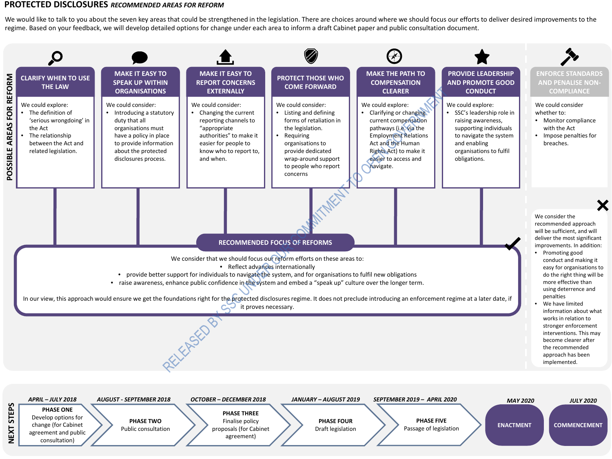## **PROTECTED DISCLOSURES** *RECOMMENDED AREAS FOR REFORM*

**NEXT STEPS**

NEXT STEPS

We would like to talk to you about the seven key areas that could be strengthened in the legislation. There are choices around where we should focus our efforts to deliver desired improvements to the regime. Based on your feedback, we will develop detailed options for change under each area to inform a draft Cabinet paper and public consultation document.